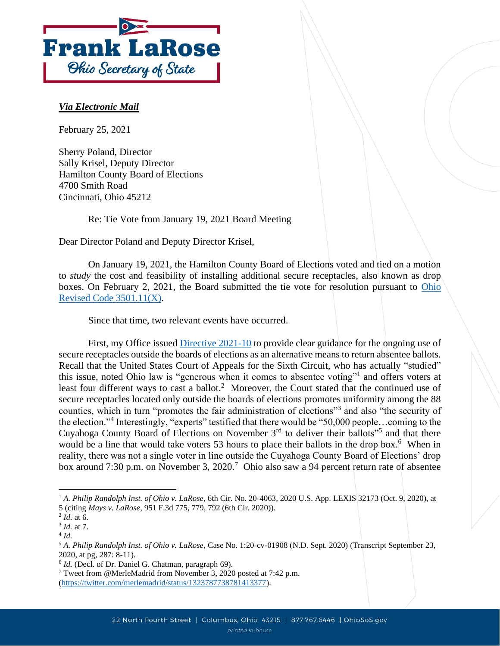

## *Via Electronic Mail*

February 25, 2021

Sherry Poland, Director Sally Krisel, Deputy Director Hamilton County Board of Elections 4700 Smith Road Cincinnati, Ohio 45212

Re: Tie Vote from January 19, 2021 Board Meeting

Dear Director Poland and Deputy Director Krisel,

On January 19, 2021, the Hamilton County Board of Elections voted and tied on a motion to *study* the cost and feasibility of installing additional secure receptacles, also known as drop boxes. On February 2, 2021, the Board submitted the tie vote for resolution pursuant to [Ohio](https://codes.ohio.gov/orc/3501.11)  [Revised Code 3501.11\(X\).](https://codes.ohio.gov/orc/3501.11)

Since that time, two relevant events have occurred.

First, my Office issued [Directive 2021-10](https://www.ohiosos.gov/globalassets/elections/directives/2021/dir2021-10.pdf) to provide clear guidance for the ongoing use of secure receptacles outside the boards of elections as an alternative means to return absentee ballots. Recall that the United States Court of Appeals for the Sixth Circuit, who has actually "studied" this issue, noted Ohio law is "generous when it comes to absentee voting"<sup>1</sup> and offers voters at least four different ways to cast a ballot.<sup>2</sup> Moreover, the Court stated that the continued use of secure receptacles located only outside the boards of elections promotes uniformity among the 88 counties, which in turn "promotes the fair administration of elections"<sup>3</sup> and also "the security of the election."<sup>4</sup> Interestingly, "experts" testified that there would be "50,000 people…coming to the Cuyahoga County Board of Elections on November  $3<sup>rd</sup>$  to deliver their ballots<sup>"5</sup> and that there would be a line that would take voters 53 hours to place their ballots in the drop box.<sup>6</sup> When in reality, there was not a single voter in line outside the Cuyahoga County Board of Elections' drop box around 7:30 p.m. on November 3, 2020. 7 Ohio also saw a 94 percent return rate of absentee

<sup>&</sup>lt;sup>1</sup> A. Philip Randolph Inst. of Ohio v. LaRose, 6th Cir. No. 20-4063, 2020 U.S. App. LEXIS 32173 (Oct. 9, 2020), at

<sup>5 (</sup>citing *Mays v. LaRose*, 951 F.3d 775, 779, 792 (6th Cir. 2020)).

<sup>2</sup> *Id.* at 6.

<sup>3</sup> *Id.* at 7.

<sup>4</sup> *Id.*

<sup>5</sup> *A. Philip Randolph Inst. of Ohio v. LaRose*, Case No. 1:20-cv-01908 (N.D. Sept. 2020) (Transcript September 23, 2020, at pg, 287: 8-11).

<sup>&</sup>lt;sup>6</sup> *Id.* (Decl. of Dr. Daniel G. Chatman, paragraph 69).

<sup>7</sup> Tweet from @MerleMadrid from November 3, 2020 posted at 7:42 p.m. [\(https://twitter.com/merlemadrid/status/1323787738781413377\)](https://twitter.com/merlemadrid/status/1323787738781413377).